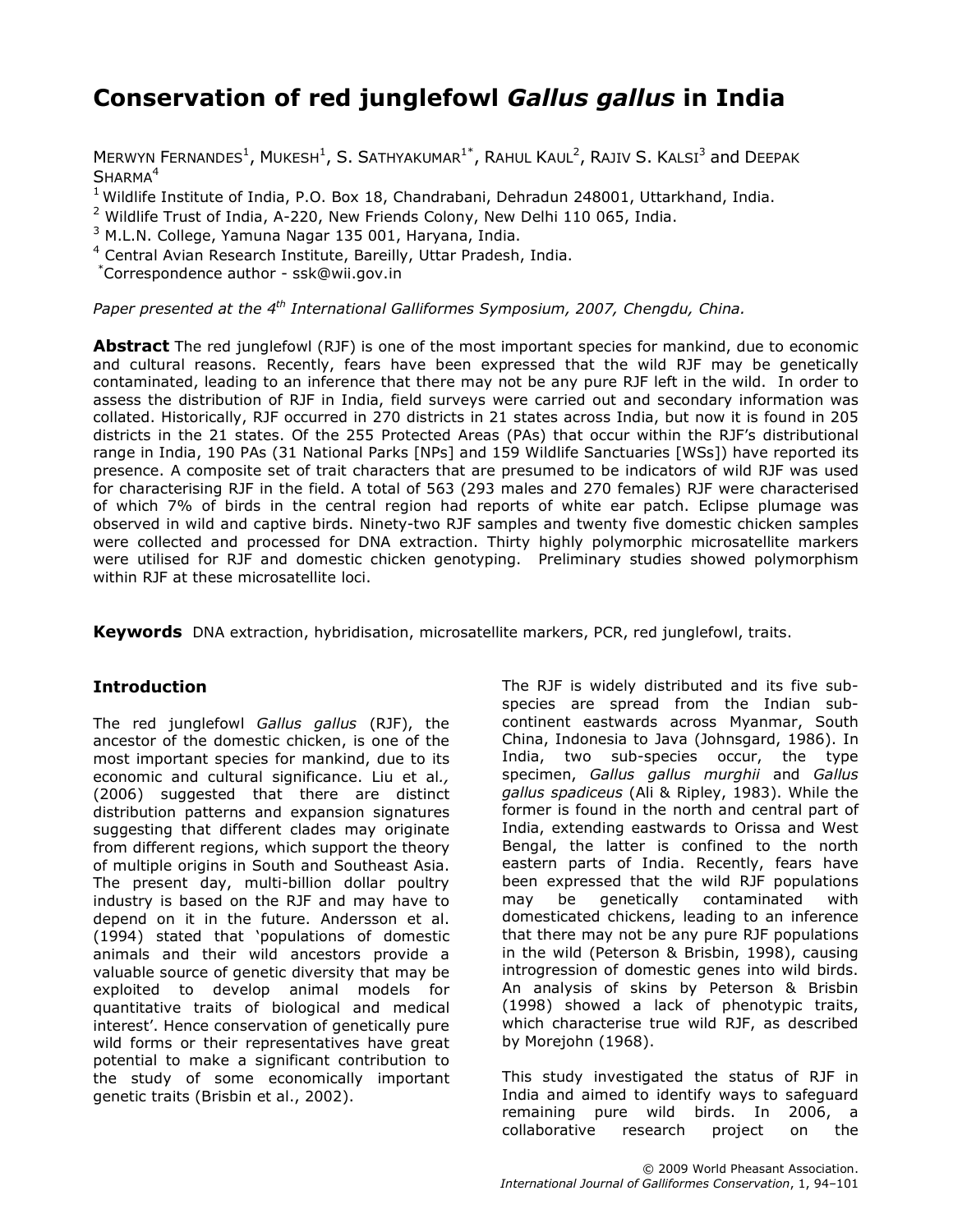# Conservation of red junglefowl Gallus gallus in India

MERWYN FERNANDES<sup>1</sup>, MUKESH<sup>1</sup>, S. SATHYAKUMAR<sup>1\*</sup>, RAHUL KAUL<sup>2</sup>, RAJIV S. KALSI<sup>3</sup> and DEEPAK SHARMA<sup>4</sup>

<sup>1</sup> Wildlife Institute of India, P.O. Box 18, Chandrabani, Dehradun 248001, Uttarkhand, India.

<sup>2</sup> Wildlife Trust of India, A-220, New Friends Colony, New Delhi 110 065, India.

<sup>3</sup> M.L.N. College, Yamuna Nagar 135 001, Haryana, India.

<sup>4</sup> Central Avian Research Institute, Bareilly, Uttar Pradesh, India.

\*Correspondence author - ssk@wii.gov.in

Paper presented at the  $4^{th}$  International Galliformes Symposium, 2007, Chengdu, China.

**Abstract** The red junglefowl (RJF) is one of the most important species for mankind, due to economic and cultural reasons. Recently, fears have been expressed that the wild RJF may be genetically contaminated, leading to an inference that there may not be any pure RJF left in the wild. In order to assess the distribution of RJF in India, field surveys were carried out and secondary information was collated. Historically, RJF occurred in 270 districts in 21 states across India, but now it is found in 205 districts in the 21 states. Of the 255 Protected Areas (PAs) that occur within the RJF's distributional range in India, 190 PAs (31 National Parks [NPs] and 159 Wildlife Sanctuaries [WSs]) have reported its presence. A composite set of trait characters that are presumed to be indicators of wild RJF was used for characterising RJF in the field. A total of 563 (293 males and 270 females) RJF were characterised of which 7% of birds in the central region had reports of white ear patch. Eclipse plumage was observed in wild and captive birds. Ninety-two RJF samples and twenty five domestic chicken samples were collected and processed for DNA extraction. Thirty highly polymorphic microsatellite markers were utilised for RJF and domestic chicken genotyping. Preliminary studies showed polymorphism within RJF at these microsatellite loci.

Keywords DNA extraction, hybridisation, microsatellite markers, PCR, red junglefowl, traits.

## Introduction

The red junglefowl Gallus gallus (RJF), the ancestor of the domestic chicken, is one of the most important species for mankind, due to its economic and cultural significance. Liu et al., (2006) suggested that there are distinct distribution patterns and expansion signatures suggesting that different clades may originate from different regions, which support the theory of multiple origins in South and Southeast Asia. The present day, multi-billion dollar poultry industry is based on the RJF and may have to depend on it in the future. Andersson et al. (1994) stated that 'populations of domestic animals and their wild ancestors provide a valuable source of genetic diversity that may be exploited to develop animal models for quantitative traits of biological and medical interest'. Hence conservation of genetically pure wild forms or their representatives have great potential to make a significant contribution to the study of some economically important genetic traits (Brisbin et al., 2002).

The RJF is widely distributed and its five subspecies are spread from the Indian subcontinent eastwards across Myanmar, South China, Indonesia to Java (Johnsgard, 1986). In India, two sub-species occur, the type specimen, Gallus gallus murghii and Gallus gallus spadiceus (Ali & Ripley, 1983). While the former is found in the north and central part of India, extending eastwards to Orissa and West Bengal, the latter is confined to the north eastern parts of India. Recently, fears have been expressed that the wild RJF populations may be genetically contaminated with domesticated chickens, leading to an inference that there may not be any pure RJF populations in the wild (Peterson & Brisbin, 1998), causing introgression of domestic genes into wild birds. An analysis of skins by Peterson & Brisbin (1998) showed a lack of phenotypic traits, which characterise true wild RJF, as described by Morejohn (1968).

This study investigated the status of RJF in India and aimed to identify ways to safeguard remaining pure wild birds. In 2006, a collaborative research project on the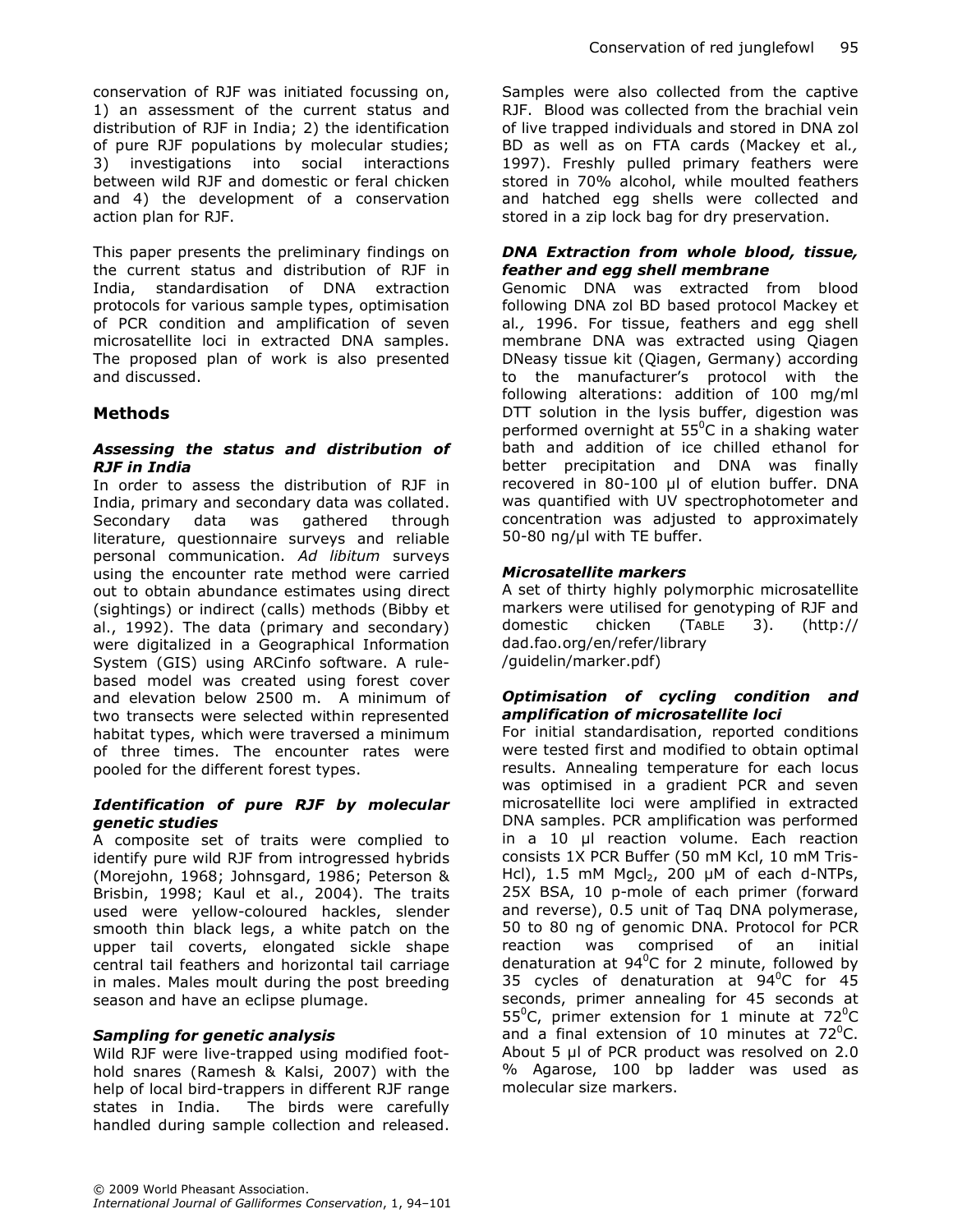conservation of RJF was initiated focussing on, 1) an assessment of the current status and distribution of RJF in India; 2) the identification of pure RJF populations by molecular studies; 3) investigations into social interactions between wild RJF and domestic or feral chicken and 4) the development of a conservation action plan for RJF.

This paper presents the preliminary findings on the current status and distribution of RJF in India, standardisation of DNA extraction protocols for various sample types, optimisation of PCR condition and amplification of seven microsatellite loci in extracted DNA samples. The proposed plan of work is also presented and discussed.

## **Methods**

#### Assessing the status and distribution of RJF in India

In order to assess the distribution of RJF in India, primary and secondary data was collated. Secondary data was gathered through literature, questionnaire surveys and reliable personal communication. Ad libitum surveys using the encounter rate method were carried out to obtain abundance estimates using direct (sightings) or indirect (calls) methods (Bibby et al., 1992). The data (primary and secondary) were digitalized in a Geographical Information System (GIS) using ARCinfo software. A rulebased model was created using forest cover and elevation below 2500 m. A minimum of two transects were selected within represented habitat types, which were traversed a minimum of three times. The encounter rates were pooled for the different forest types.

## Identification of pure RJF by molecular genetic studies

A composite set of traits were complied to identify pure wild RJF from introgressed hybrids (Morejohn, 1968; Johnsgard, 1986; Peterson & Brisbin, 1998; Kaul et al., 2004). The traits used were yellow-coloured hackles, slender smooth thin black legs, a white patch on the upper tail coverts, elongated sickle shape central tail feathers and horizontal tail carriage in males. Males moult during the post breeding season and have an eclipse plumage.

#### Sampling for genetic analysis

Wild RJF were live-trapped using modified foothold snares (Ramesh & Kalsi, 2007) with the help of local bird-trappers in different RJF range states in India. The birds were carefully handled during sample collection and released.

Samples were also collected from the captive RJF. Blood was collected from the brachial vein of live trapped individuals and stored in DNA zol BD as well as on FTA cards (Mackey et al., 1997). Freshly pulled primary feathers were stored in 70% alcohol, while moulted feathers and hatched egg shells were collected and stored in a zip lock bag for dry preservation.

#### DNA Extraction from whole blood, tissue, feather and egg shell membrane

Genomic DNA was extracted from blood following DNA zol BD based protocol Mackey et al., 1996. For tissue, feathers and egg shell membrane DNA was extracted using Qiagen DNeasy tissue kit (Qiagen, Germany) according to the manufacturer's protocol with the following alterations: addition of 100 mg/ml DTT solution in the lysis buffer, digestion was performed overnight at  $55^{\circ}$ C in a shaking water bath and addition of ice chilled ethanol for better precipitation and DNA was finally recovered in 80-100 µl of elution buffer. DNA was quantified with UV spectrophotometer and concentration was adjusted to approximately 50-80 ng/µl with TE buffer.

## Microsatellite markers

A set of thirty highly polymorphic microsatellite markers were utilised for genotyping of RJF and domestic chicken (TABLE 3). (http:// dad.fao.org/en/refer/library /guidelin/marker.pdf)

#### Optimisation of cycling condition and amplification of microsatellite loci

For initial standardisation, reported conditions were tested first and modified to obtain optimal results. Annealing temperature for each locus was optimised in a gradient PCR and seven microsatellite loci were amplified in extracted DNA samples. PCR amplification was performed in a 10 µl reaction volume. Each reaction consists 1X PCR Buffer (50 mM Kcl, 10 mM Tris-Hcl), 1.5 mM Mgcl<sub>2</sub>, 200  $\mu$ M of each d-NTPs, 25X BSA, 10 p-mole of each primer (forward and reverse), 0.5 unit of Taq DNA polymerase, 50 to 80 ng of genomic DNA. Protocol for PCR reaction was comprised of an initial denaturation at  $94^{\circ}$ C for 2 minute, followed by 35 cycles of denaturation at  $94^{\circ}$ C for 45 seconds, primer annealing for 45 seconds at 55<sup>o</sup>C, primer extension for 1 minute at  $72^{\circ}$ C and a final extension of 10 minutes at  $72^{\circ}$ C. About 5 µl of PCR product was resolved on 2.0 % Agarose, 100 bp ladder was used as molecular size markers.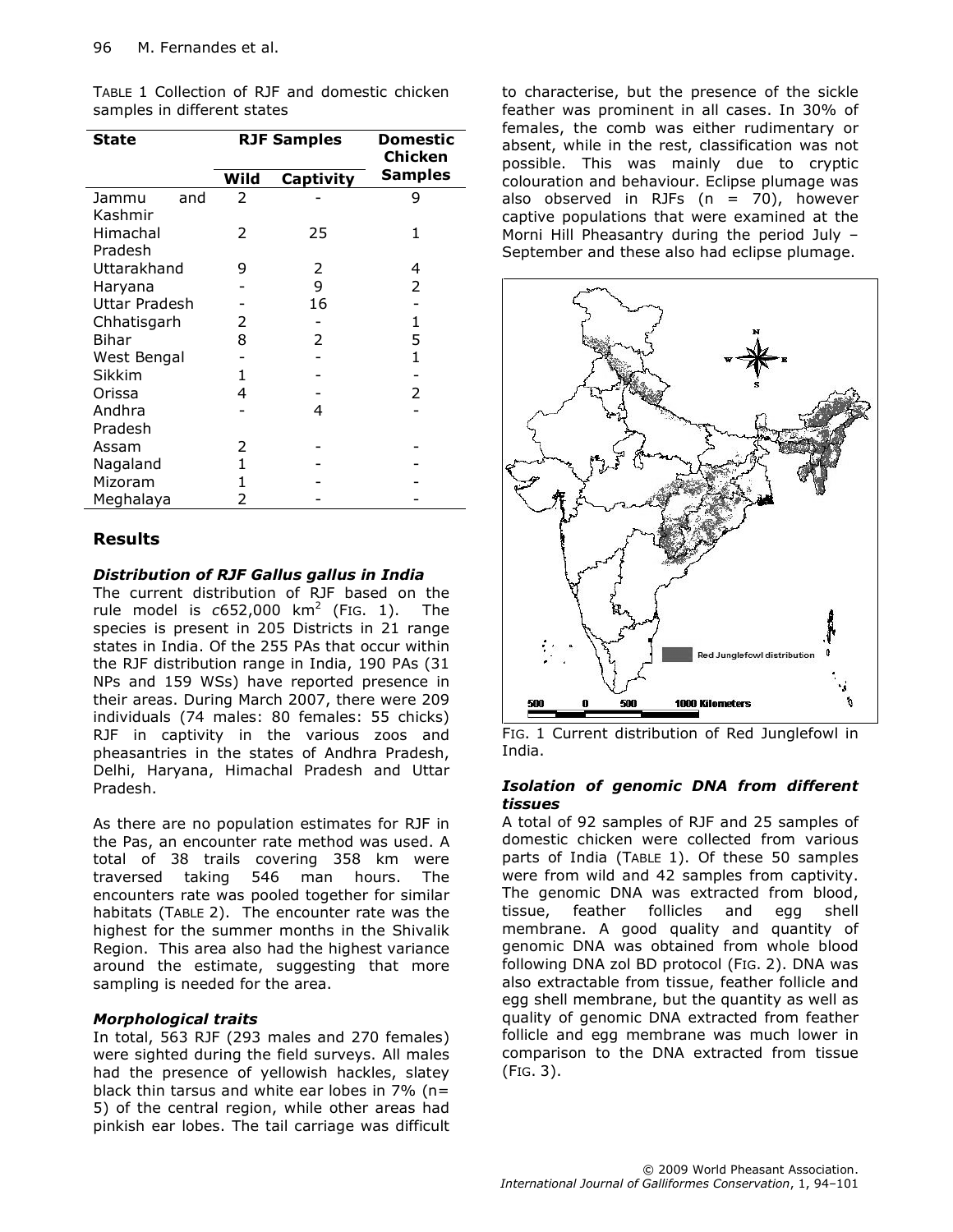TABLE 1 Collection of RJF and domestic chicken samples in different states

| <b>State</b>         |      | <b>RJF Samples</b> | Domestic<br>Chicken |
|----------------------|------|--------------------|---------------------|
|                      | Wild | Captivity          | <b>Samples</b>      |
| Jammu<br>and         | 2    |                    | 9                   |
| Kashmir              |      |                    |                     |
| Himachal             | 2    | 25                 | 1                   |
| Pradesh              |      |                    |                     |
| Uttarakhand          | 9    | 2                  | 4                   |
| Haryana              |      | 9                  | 2                   |
| <b>Uttar Pradesh</b> |      | 16                 |                     |
| Chhatisgarh          | 2    |                    | 1                   |
| Bihar                | 8    | 2                  | 5                   |
| West Bengal          |      |                    | $\mathbf{1}$        |
| Sikkim               | 1    |                    |                     |
| Orissa               | 4    |                    | 2                   |
| Andhra               |      | 4                  |                     |
| Pradesh              |      |                    |                     |
| Assam                | 2    |                    |                     |
| Nagaland             | 1    |                    |                     |
| Mizoram              | 1    |                    |                     |
| Meghalaya            | 2    |                    |                     |

## Results

## Distribution of RJF Gallus gallus in India

The current distribution of RJF based on the rule model is  $c$ 652,000 km<sup>2</sup> (FIG. 1). The species is present in 205 Districts in 21 range states in India. Of the 255 PAs that occur within the RJF distribution range in India, 190 PAs (31 NPs and 159 WSs) have reported presence in their areas. During March 2007, there were 209 individuals (74 males: 80 females: 55 chicks) RJF in captivity in the various zoos and pheasantries in the states of Andhra Pradesh, Delhi, Haryana, Himachal Pradesh and Uttar Pradesh.

As there are no population estimates for RJF in the Pas, an encounter rate method was used. A total of 38 trails covering 358 km were<br>traversed taking 546 man hours. The 546 man hours. The encounters rate was pooled together for similar habitats (TABLE 2). The encounter rate was the highest for the summer months in the Shivalik Region. This area also had the highest variance around the estimate, suggesting that more sampling is needed for the area.

## Morphological traits

In total, 563 RJF (293 males and 270 females) were sighted during the field surveys. All males had the presence of yellowish hackles, slatey black thin tarsus and white ear lobes in 7% (n= 5) of the central region, while other areas had pinkish ear lobes. The tail carriage was difficult to characterise, but the presence of the sickle feather was prominent in all cases. In 30% of females, the comb was either rudimentary or absent, while in the rest, classification was not possible. This was mainly due to cryptic colouration and behaviour. Eclipse plumage was also observed in RJFs  $(n = 70)$ , however captive populations that were examined at the Morni Hill Pheasantry during the period July – September and these also had eclipse plumage.



FIG. 1 Current distribution of Red Junglefowl in India.

## Isolation of genomic DNA from different tissues

A total of 92 samples of RJF and 25 samples of domestic chicken were collected from various parts of India (TABLE 1). Of these 50 samples were from wild and 42 samples from captivity. The genomic DNA was extracted from blood, tissue, feather follicles and egg shell membrane. A good quality and quantity of genomic DNA was obtained from whole blood following DNA zol BD protocol (FIG. 2). DNA was also extractable from tissue, feather follicle and egg shell membrane, but the quantity as well as quality of genomic DNA extracted from feather follicle and egg membrane was much lower in comparison to the DNA extracted from tissue (FIG. 3).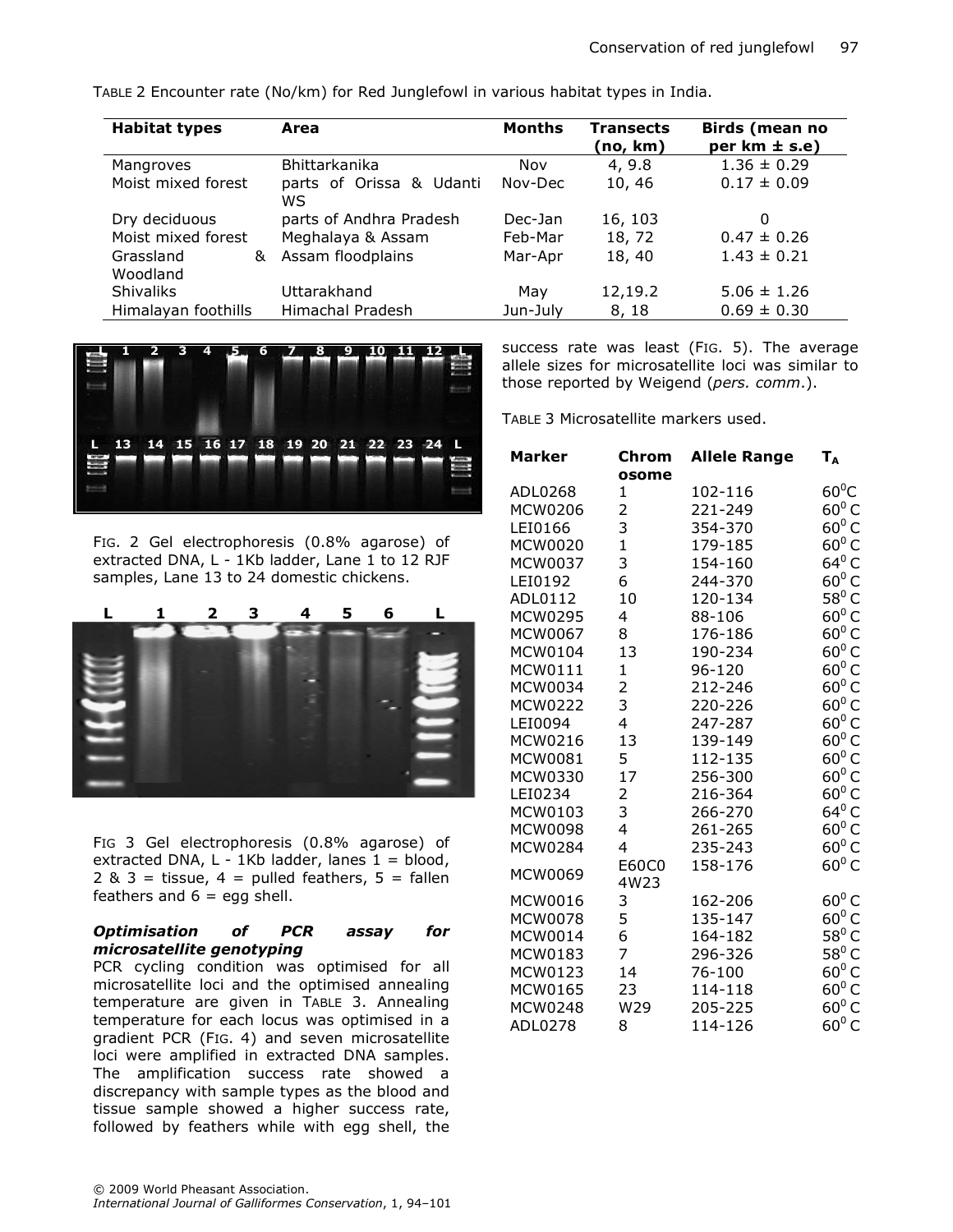TABLE 2 Encounter rate (No/km) for Red Junglefowl in various habitat types in India.

| <b>Habitat types</b>  | Area                           | Months   | <b>Transects</b><br>(no, km) | Birds (mean no<br>per $km \pm s.e$ ) |
|-----------------------|--------------------------------|----------|------------------------------|--------------------------------------|
| Mangroves             | Bhittarkanika                  | Nov      | 4, 9.8                       | $1.36 \pm 0.29$                      |
| Moist mixed forest    | parts of Orissa & Udanti<br>WS | Nov-Dec  | 10, 46                       | $0.17 \pm 0.09$                      |
| Dry deciduous         | parts of Andhra Pradesh        | Dec-Jan  | 16, 103                      | O                                    |
| Moist mixed forest    | Meghalaya & Assam              | Feb-Mar  | 18, 72                       | $0.47 \pm 0.26$                      |
| Grassland<br>Woodland | & Assam floodplains            | Mar-Apr  | 18, 40                       | $1.43 \pm 0.21$                      |
| <b>Shivaliks</b>      | Uttarakhand                    | Mav      | 12,19.2                      | $5.06 \pm 1.26$                      |
| Himalayan foothills   | Himachal Pradesh               | Jun-July | 8, 18                        | $0.69 \pm 0.30$                      |



FIG. 2 Gel electrophoresis (0.8% agarose) of extracted DNA, L - 1Kb ladder, Lane 1 to 12 RJF samples, Lane 13 to 24 domestic chickens.



FIG 3 Gel electrophoresis (0.8% agarose) of extracted DNA,  $L - 1Kb$  ladder, lanes  $1 = 1$ olood,  $2 & 3 =$  tissue,  $4 =$  pulled feathers,  $5 =$  fallen feathers and  $6 =$  egg shell.

#### Optimisation of PCR assay for microsatellite genotyping

PCR cycling condition was optimised for all microsatellite loci and the optimised annealing temperature are given in TABLE 3. Annealing temperature for each locus was optimised in a gradient PCR (FIG. 4) and seven microsatellite loci were amplified in extracted DNA samples. The amplification success rate showed a discrepancy with sample types as the blood and tissue sample showed a higher success rate, followed by feathers while with egg shell, the success rate was least (FIG. 5). The average allele sizes for microsatellite loci was similar to those reported by Weigend (pers. comm.).

TABLE 3 Microsatellite markers used.

| Marker  | Chrom          | <b>Allele Range</b> | Т <sub>а</sub>  |
|---------|----------------|---------------------|-----------------|
|         | osome          |                     |                 |
| ADL0268 | $\mathbf 1$    | 102-116             | $60^0C$         |
| MCW0206 | 2<br>3         | 221-249             | $60^0 C$        |
| LEI0166 |                | 354-370             | $60^0 C$        |
| MCW0020 | $\mathbf{1}$   | 179-185             | $60^0$ C        |
| MCW0037 | 3              | 154-160             | 64 $^{\rm 0}$ C |
| LEI0192 | 6              | 244-370             | $60^0 C$        |
| ADL0112 | 10             | 120-134             | $58^0$ C        |
| MCW0295 | 4              | 88-106              | $60^0 C$        |
| MCW0067 | 8              | 176-186             | $60^0 C$        |
| MCW0104 | 13             | 190-234             | $60^0 C$        |
| MCW0111 | 1              | 96-120              | $60^0 C$        |
| MCW0034 | $\overline{2}$ | 212-246             | $60^0 C$        |
| MCW0222 | 3              | 220-226             | $60^0 C$        |
| LEI0094 | 4              | 247-287             | $60^0 C$        |
| MCW0216 | 13             | 139-149             | $60^0 C$        |
| MCW0081 | 5              | 112-135             | $60^0 C$        |
| MCW0330 | 17             | 256-300             | $60^0 C$        |
| LEI0234 | 2              | 216-364             | $60^0 C$        |
| MCW0103 | 3              | 266-270             | 64 $^{\rm 0}$ C |
| MCW0098 | 4              | 261-265             | $60^0$ C        |
| MCW0284 | 4              | 235-243             | $60^0 C$        |
| MCW0069 | E60C0<br>4W23  | 158-176             | $60^0 C$        |
| MCW0016 | 3              | 162-206             | $60^0 C$        |
| MCW0078 | 5              | 135-147             | $60^0 C$        |
| MCW0014 | 6              | 164-182             | $58^0$ C        |
| MCW0183 | 7              | 296-326             | $58^0$ C        |
| MCW0123 | 14             | 76-100              | $60^0$ C        |
| MCW0165 | 23             | 114-118             | $60^0 C$        |
| MCW0248 | W29            | 205-225             | $60^0 C$        |
| ADL0278 | 8              | 114-126             | $60^0$ C        |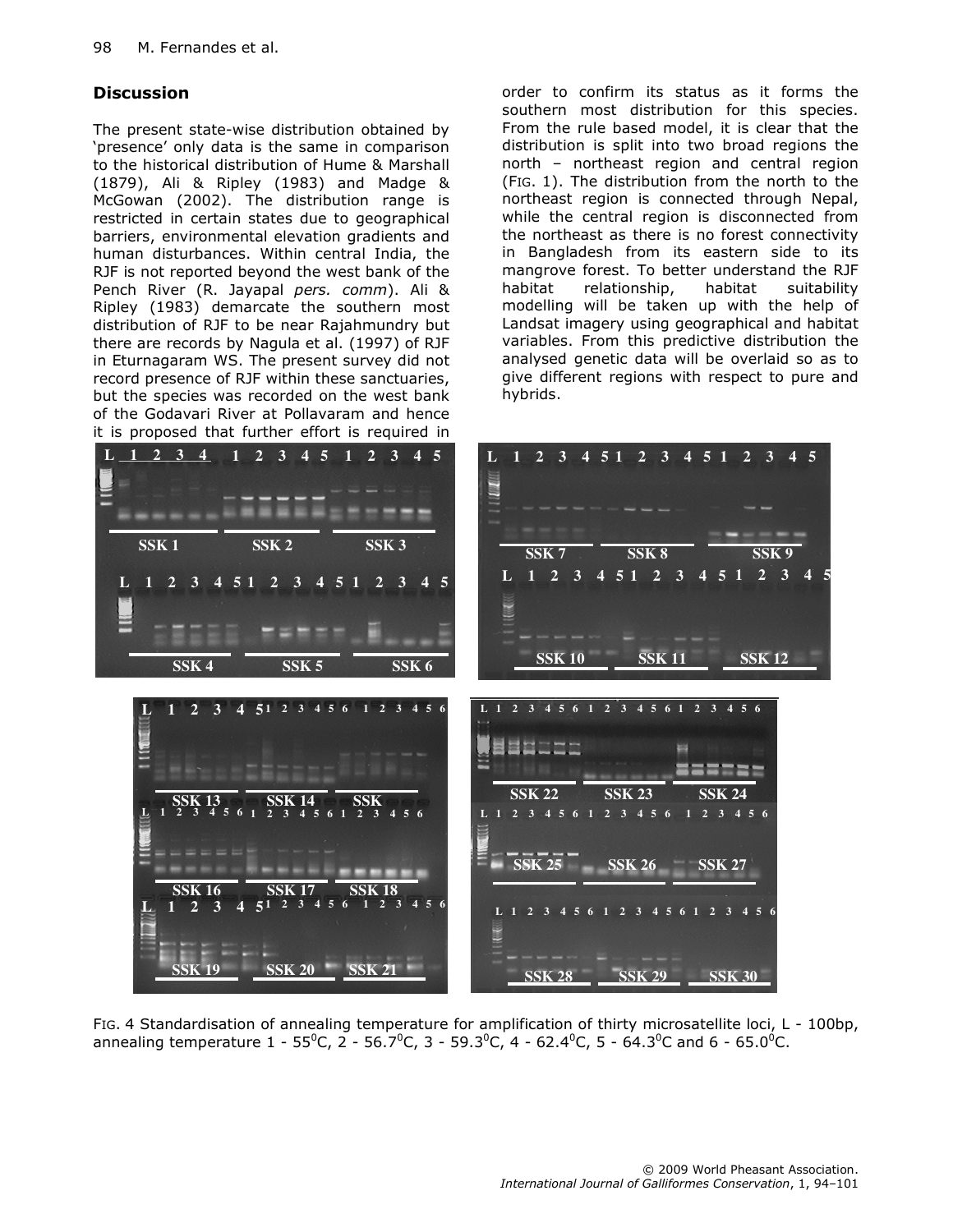# **Discussion**

The present state-wise distribution obtained by 'presence' only data is the same in comparison to the historical distribution of Hume & Marshall (1879), Ali & Ripley (1983) and Madge & McGowan (2002). The distribution range is restricted in certain states due to geographical barriers, environmental elevation gradients and human disturbances. Within central India, the RJF is not reported beyond the west bank of the Pench River (R. Jayapal pers. comm). Ali & Ripley (1983) demarcate the southern most distribution of RJF to be near Rajahmundry but there are records by Nagula et al. (1997) of RJF in Eturnagaram WS. The present survey did not record presence of RJF within these sanctuaries, but the species was recorded on the west bank of the Godavari River at Pollavaram and hence it is proposed that further effort is required in order to confirm its status as it forms the southern most distribution for this species. From the rule based model, it is clear that the distribution is split into two broad regions the north – northeast region and central region (FIG. 1). The distribution from the north to the northeast region is connected through Nepal, while the central region is disconnected from the northeast as there is no forest connectivity in Bangladesh from its eastern side to its mangrove forest. To better understand the RJF habitat relationship, habitat suitability modelling will be taken up with the help of Landsat imagery using geographical and habitat variables. From this predictive distribution the analysed genetic data will be overlaid so as to give different regions with respect to pure and hybrids.



FIG. 4 Standardisation of annealing temperature for amplification of thirty microsatellite loci, L - 100bp, annealing temperature  $1 - 55^{\circ}$ C,  $2 - 56.7^{\circ}$ C,  $3 - 59.3^{\circ}$ C,  $4 - 62.4^{\circ}$ C,  $5 - 64.3^{\circ}$ C and  $6 - 65.0^{\circ}$ C.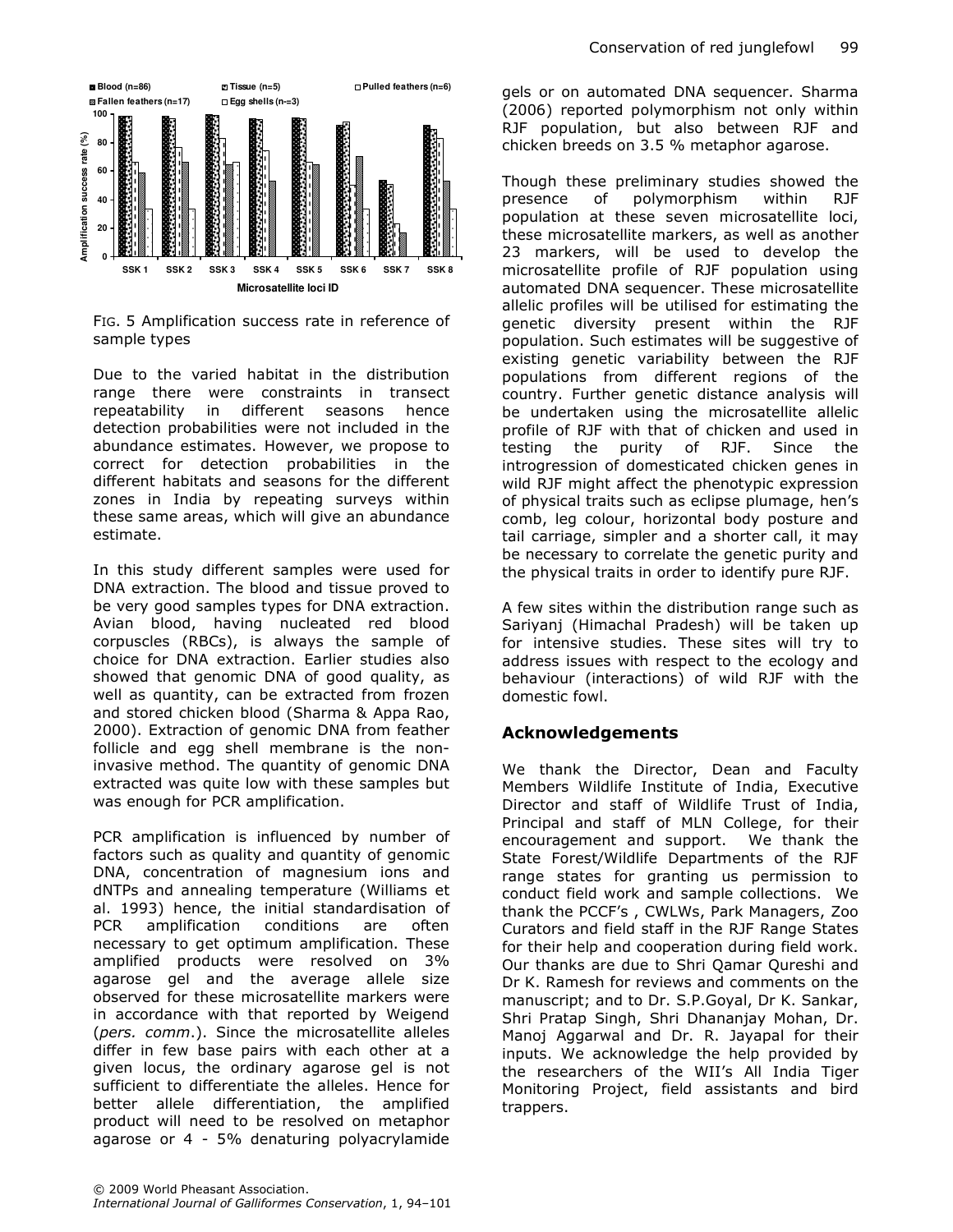

FIG. 5 Amplification success rate in reference of sample types

Due to the varied habitat in the distribution range there were constraints in transect repeatability in different seasons hence detection probabilities were not included in the abundance estimates. However, we propose to correct for detection probabilities in the different habitats and seasons for the different zones in India by repeating surveys within these same areas, which will give an abundance estimate.

In this study different samples were used for DNA extraction. The blood and tissue proved to be very good samples types for DNA extraction. Avian blood, having nucleated red blood corpuscles (RBCs), is always the sample of choice for DNA extraction. Earlier studies also showed that genomic DNA of good quality, as well as quantity, can be extracted from frozen and stored chicken blood (Sharma & Appa Rao, 2000). Extraction of genomic DNA from feather follicle and egg shell membrane is the noninvasive method. The quantity of genomic DNA extracted was quite low with these samples but was enough for PCR amplification.

PCR amplification is influenced by number of factors such as quality and quantity of genomic DNA, concentration of magnesium ions and dNTPs and annealing temperature (Williams et al. 1993) hence, the initial standardisation of PCR amplification conditions are often necessary to get optimum amplification. These amplified products were resolved on 3% agarose gel and the average allele size observed for these microsatellite markers were in accordance with that reported by Weigend (pers. comm.). Since the microsatellite alleles differ in few base pairs with each other at a given locus, the ordinary agarose gel is not sufficient to differentiate the alleles. Hence for better allele differentiation, the amplified product will need to be resolved on metaphor agarose or 4 - 5% denaturing polyacrylamide

© 2009 World Pheasant Association. International Journal of Galliformes Conservation, 1, 94–101

gels or on automated DNA sequencer. Sharma (2006) reported polymorphism not only within RJF population, but also between RJF and chicken breeds on 3.5 % metaphor agarose.

Though these preliminary studies showed the presence of polymorphism within RJF population at these seven microsatellite loci, these microsatellite markers, as well as another 23 markers, will be used to develop the microsatellite profile of RJF population using automated DNA sequencer. These microsatellite allelic profiles will be utilised for estimating the genetic diversity present within the RJF population. Such estimates will be suggestive of existing genetic variability between the RJF populations from different regions of the country. Further genetic distance analysis will be undertaken using the microsatellite allelic profile of RJF with that of chicken and used in testing the purity of RJF. Since the introgression of domesticated chicken genes in wild RJF might affect the phenotypic expression of physical traits such as eclipse plumage, hen's comb, leg colour, horizontal body posture and tail carriage, simpler and a shorter call, it may be necessary to correlate the genetic purity and the physical traits in order to identify pure RJF.

A few sites within the distribution range such as Sariyanj (Himachal Pradesh) will be taken up for intensive studies. These sites will try to address issues with respect to the ecology and behaviour (interactions) of wild RJF with the domestic fowl.

# Acknowledgements

We thank the Director, Dean and Faculty Members Wildlife Institute of India, Executive Director and staff of Wildlife Trust of India, Principal and staff of MLN College, for their encouragement and support. We thank the State Forest/Wildlife Departments of the RJF range states for granting us permission to conduct field work and sample collections. We thank the PCCF's , CWLWs, Park Managers, Zoo Curators and field staff in the RJF Range States for their help and cooperation during field work. Our thanks are due to Shri Qamar Qureshi and Dr K. Ramesh for reviews and comments on the manuscript; and to Dr. S.P.Goyal, Dr K. Sankar, Shri Pratap Singh, Shri Dhananjay Mohan, Dr. Manoj Aggarwal and Dr. R. Jayapal for their inputs. We acknowledge the help provided by the researchers of the WII's All India Tiger Monitoring Project, field assistants and bird trappers.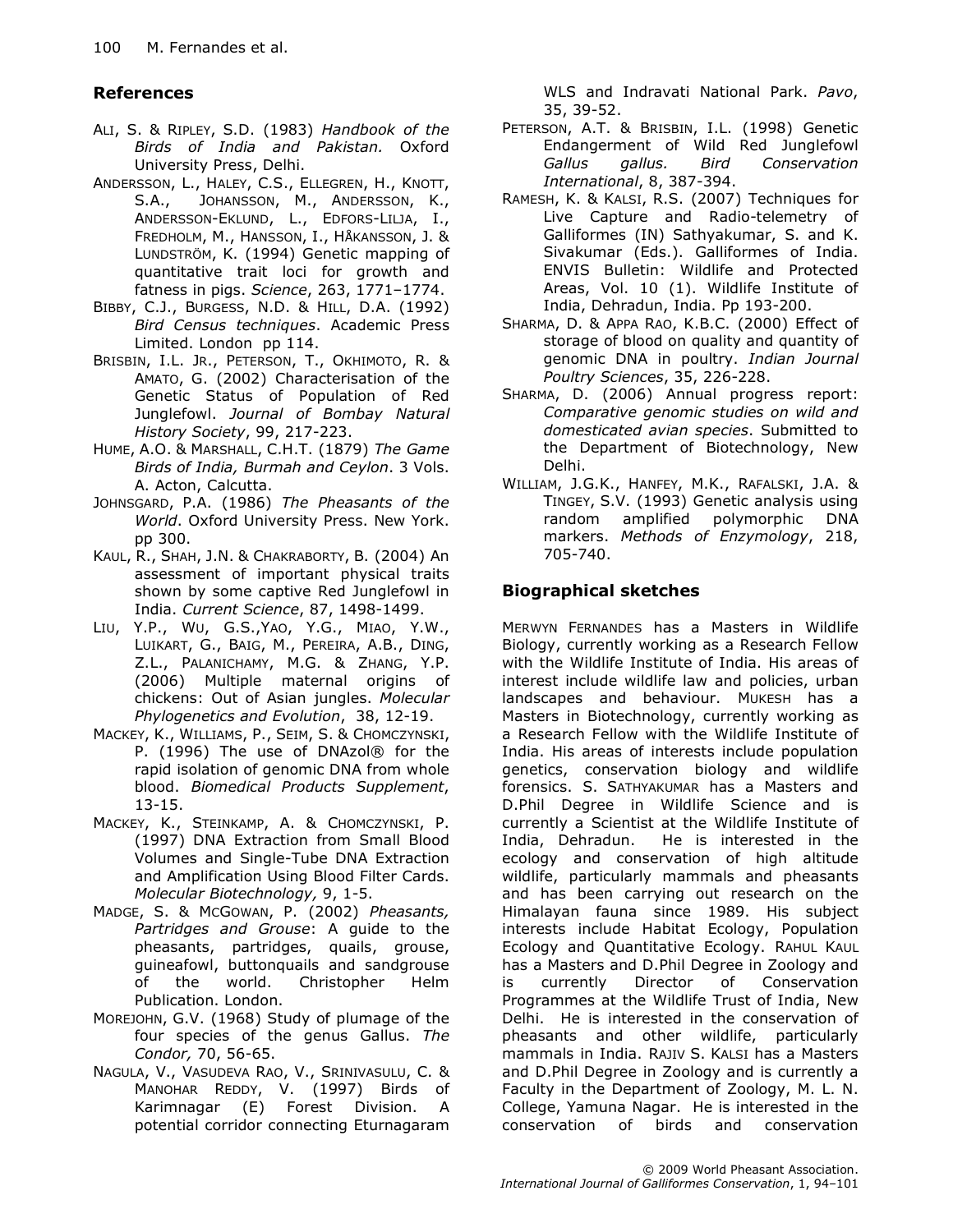# References

- ALI, S. & RIPLEY, S.D. (1983) Handbook of the Birds of India and Pakistan. Oxford University Press, Delhi.
- ANDERSSON, L., HALEY, C.S., ELLEGREN, H., KNOTT, S.A., JOHANSSON, M., ANDERSSON, K., ANDERSSON-EKLUND, L., EDFORS-LILJA, I., FREDHOLM, M., HANSSON, I., HÅKANSSON, J. & LUNDSTRÖM, K. (1994) Genetic mapping of quantitative trait loci for growth and fatness in pigs. Science, 263, 1771–1774.
- BIBBY, C.J., BURGESS, N.D. & HILL, D.A. (1992) Bird Census techniques. Academic Press Limited. London pp 114.
- BRISBIN, I.L. JR., PETERSON, T., OKHIMOTO, R. & AMATO, G. (2002) Characterisation of the Genetic Status of Population of Red Junglefowl. Journal of Bombay Natural History Society, 99, 217-223.
- HUME, A.O. & MARSHALL, C.H.T. (1879) The Game Birds of India, Burmah and Ceylon. 3 Vols. A. Acton, Calcutta.
- JOHNSGARD, P.A. (1986) The Pheasants of the World. Oxford University Press. New York. pp 300.
- KAUL, R., SHAH, J.N. & CHAKRABORTY, B. (2004) An assessment of important physical traits shown by some captive Red Junglefowl in India. Current Science, 87, 1498-1499.
- LIU, Y.P., WU, G.S.,YAO, Y.G., MIAO, Y.W., LUIKART, G., BAIG, M., PEREIRA, A.B., DING, Z.L., PALANICHAMY, M.G. & ZHANG, Y.P. (2006) Multiple maternal origins of chickens: Out of Asian jungles. Molecular Phylogenetics and Evolution, 38, 12-19.
- MACKEY, K., WILLIAMS, P., SEIM, S. & CHOMCZYNSKI, P. (1996) The use of DNAzol® for the rapid isolation of genomic DNA from whole blood. Biomedical Products Supplement, 13-15.
- MACKEY, K., STEINKAMP, A. & CHOMCZYNSKI, P. (1997) DNA Extraction from Small Blood Volumes and Single-Tube DNA Extraction and Amplification Using Blood Filter Cards. Molecular Biotechnology, 9, 1-5.
- MADGE, S. & MCGOWAN, P. (2002) Pheasants, Partridges and Grouse: A guide to the pheasants, partridges, quails, grouse, guineafowl, buttonquails and sandgrouse of the world. Christopher Helm Publication. London.
- MOREJOHN, G.V. (1968) Study of plumage of the four species of the genus Gallus. The Condor, 70, 56-65.
- NAGULA, V., VASUDEVA RAO, V., SRINIVASULU, C. & MANOHAR REDDY, V. (1997) Birds of Karimnagar (E) Forest Division. A potential corridor connecting Eturnagaram

WLS and Indravati National Park. Pavo, 35, 39-52.

- PETERSON, A.T. & BRISBIN, I.L. (1998) Genetic Endangerment of Wild Red Junglefowl Gallus gallus. Bird Conservation International, 8, 387-394.
- RAMESH, K. & KALSI, R.S. (2007) Techniques for Live Capture and Radio-telemetry of Galliformes (IN) Sathyakumar, S. and K. Sivakumar (Eds.). Galliformes of India. ENVIS Bulletin: Wildlife and Protected Areas, Vol. 10 (1). Wildlife Institute of India, Dehradun, India. Pp 193-200.
- SHARMA, D. & APPA RAO, K.B.C. (2000) Effect of storage of blood on quality and quantity of genomic DNA in poultry. Indian Journal Poultry Sciences, 35, 226-228.
- SHARMA, D. (2006) Annual progress report: Comparative genomic studies on wild and domesticated avian species. Submitted to the Department of Biotechnology, New Delhi.
- WILLIAM, J.G.K., HANFEY, M.K., RAFALSKI, J.A. & TINGEY, S.V. (1993) Genetic analysis using random amplified polymorphic DNA markers. Methods of Enzymology, 218, 705-740.

# Biographical sketches

MERWYN FERNANDES has a Masters in Wildlife Biology, currently working as a Research Fellow with the Wildlife Institute of India. His areas of interest include wildlife law and policies, urban landscapes and behaviour. MUKESH has a Masters in Biotechnology, currently working as a Research Fellow with the Wildlife Institute of India. His areas of interests include population genetics, conservation biology and wildlife forensics. S. SATHYAKUMAR has a Masters and D.Phil Degree in Wildlife Science and is currently a Scientist at the Wildlife Institute of India, Dehradun. He is interested in the ecology and conservation of high altitude wildlife, particularly mammals and pheasants and has been carrying out research on the Himalayan fauna since 1989. His subject interests include Habitat Ecology, Population Ecology and Quantitative Ecology. RAHUL KAUL has a Masters and D.Phil Degree in Zoology and is currently Director of Conservation Programmes at the Wildlife Trust of India, New Delhi. He is interested in the conservation of pheasants and other wildlife, particularly mammals in India. RAJIV S. KALSI has a Masters and D.Phil Degree in Zoology and is currently a Faculty in the Department of Zoology, M. L. N. College, Yamuna Nagar. He is interested in the conservation of birds and conservation